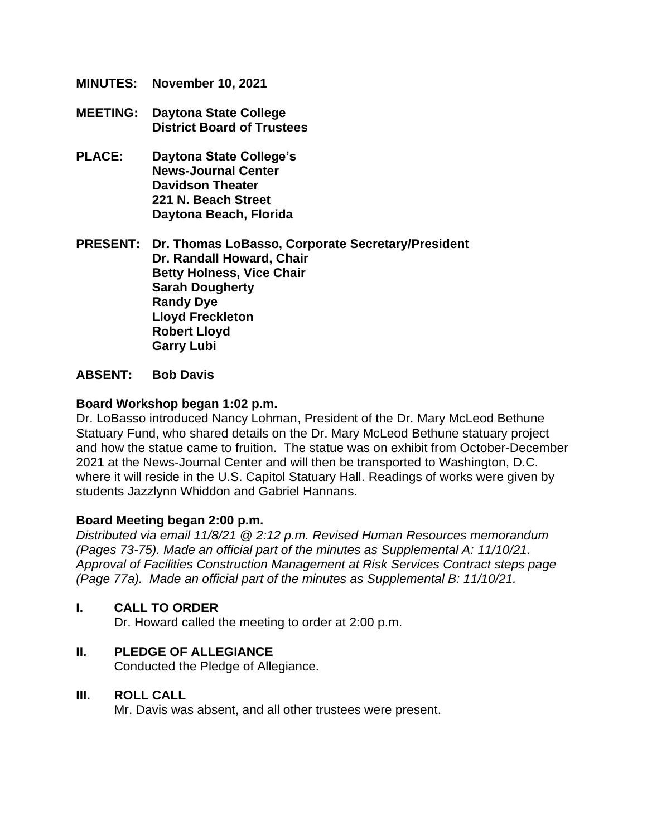- **MINUTES: November 10, 2021**
- **MEETING: Daytona State College District Board of Trustees**
- **PLACE: Daytona State College's News-Journal Center Davidson Theater 221 N. Beach Street Daytona Beach, Florida**

**PRESENT: Dr. Thomas LoBasso, Corporate Secretary/President Dr. Randall Howard, Chair Betty Holness, Vice Chair Sarah Dougherty Randy Dye Lloyd Freckleton Robert Lloyd Garry Lubi**

#### **ABSENT: Bob Davis**

#### **Board Workshop began 1:02 p.m.**

Dr. LoBasso introduced Nancy Lohman, President of the Dr. Mary McLeod Bethune Statuary Fund, who shared details on the Dr. Mary McLeod Bethune statuary project and how the statue came to fruition. The statue was on exhibit from October-December 2021 at the News-Journal Center and will then be transported to Washington, D.C. where it will reside in the U.S. Capitol Statuary Hall. Readings of works were given by students Jazzlynn Whiddon and Gabriel Hannans.

#### **Board Meeting began 2:00 p.m.**

*Distributed via email 11/8/21 @ 2:12 p.m. Revised Human Resources memorandum (Pages 73-75). Made an official part of the minutes as Supplemental A: 11/10/21. Approval of Facilities Construction Management at Risk Services Contract steps page (Page 77a). Made an official part of the minutes as Supplemental B: 11/10/21.*

#### **I. CALL TO ORDER**

Dr. Howard called the meeting to order at 2:00 p.m.

#### **II. PLEDGE OF ALLEGIANCE**

Conducted the Pledge of Allegiance.

#### **III. ROLL CALL**

Mr. Davis was absent, and all other trustees were present.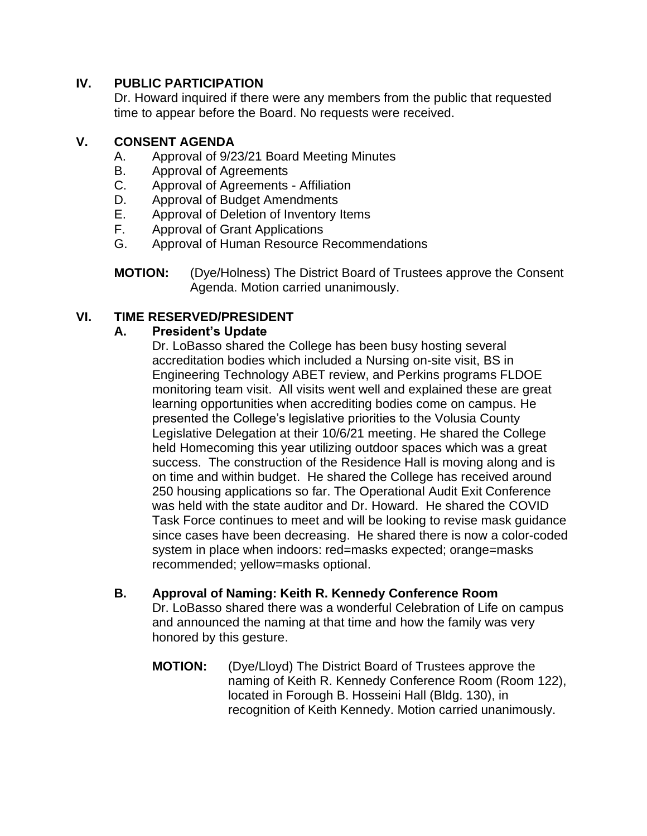# **IV. PUBLIC PARTICIPATION**

Dr. Howard inquired if there were any members from the public that requested time to appear before the Board. No requests were received.

### **V. CONSENT AGENDA**

- A. Approval of 9/23/21 Board Meeting Minutes
- B. Approval of Agreements
- C. Approval of Agreements Affiliation
- D. Approval of Budget Amendments
- E. Approval of Deletion of Inventory Items
- F. Approval of Grant Applications
- G. Approval of Human Resource Recommendations
- **MOTION:** (Dye/Holness) The District Board of Trustees approve the Consent Agenda. Motion carried unanimously.

# **VI. TIME RESERVED/PRESIDENT**

### **A. President's Update**

Dr. LoBasso shared the College has been busy hosting several accreditation bodies which included a Nursing on-site visit, BS in Engineering Technology ABET review, and Perkins programs FLDOE monitoring team visit. All visits went well and explained these are great learning opportunities when accrediting bodies come on campus. He presented the College's legislative priorities to the Volusia County Legislative Delegation at their 10/6/21 meeting. He shared the College held Homecoming this year utilizing outdoor spaces which was a great success. The construction of the Residence Hall is moving along and is on time and within budget. He shared the College has received around 250 housing applications so far. The Operational Audit Exit Conference was held with the state auditor and Dr. Howard. He shared the COVID Task Force continues to meet and will be looking to revise mask guidance since cases have been decreasing. He shared there is now a color-coded system in place when indoors: red=masks expected; orange=masks recommended; yellow=masks optional.

- **B. Approval of Naming: Keith R. Kennedy Conference Room** Dr. LoBasso shared there was a wonderful Celebration of Life on campus and announced the naming at that time and how the family was very honored by this gesture.
	- **MOTION:** (Dye/Lloyd) The District Board of Trustees approve the naming of Keith R. Kennedy Conference Room (Room 122), located in Forough B. Hosseini Hall (Bldg. 130), in recognition of Keith Kennedy. Motion carried unanimously.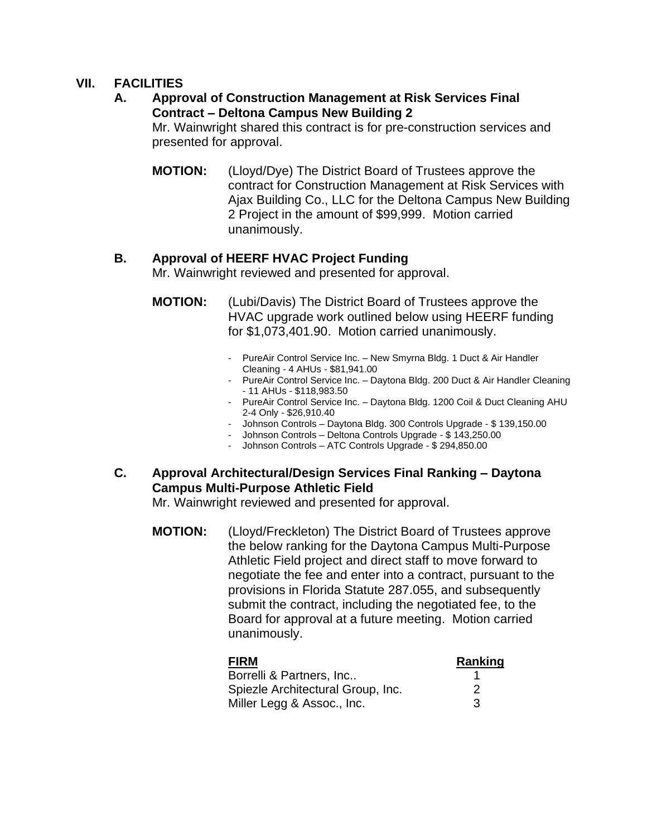# **VII. FACILITIES**

### **A. Approval of Construction Management at Risk Services Final Contract – Deltona Campus New Building 2**

Mr. Wainwright shared this contract is for pre-construction services and presented for approval.

**MOTION:** (Lloyd/Dye) The District Board of Trustees approve the contract for Construction Management at Risk Services with Ajax Building Co., LLC for the Deltona Campus New Building 2 Project in the amount of \$99,999. Motion carried unanimously.

### **B. Approval of HEERF HVAC Project Funding**

Mr. Wainwright reviewed and presented for approval.

**MOTION:** (Lubi/Davis) The District Board of Trustees approve the HVAC upgrade work outlined below using HEERF funding for \$1,073,401.90. Motion carried unanimously.

- PureAir Control Service Inc. New Smyrna Bldg. 1 Duct & Air Handler Cleaning - 4 AHUs - \$81,941.00
- PureAir Control Service Inc. Daytona Bldg. 200 Duct & Air Handler Cleaning - 11 AHUs - \$118,983.50
- PureAir Control Service Inc. Daytona Bldg. 1200 Coil & Duct Cleaning AHU 2-4 Only - \$26,910.40
- Johnson Controls Daytona Bldg. 300 Controls Upgrade \$ 139,150.00
- Johnson Controls Deltona Controls Upgrade \$ 143,250.00
- Johnson Controls ATC Controls Upgrade \$ 294,850.00
- **C. Approval Architectural/Design Services Final Ranking – Daytona Campus Multi-Purpose Athletic Field**

Mr. Wainwright reviewed and presented for approval.

**MOTION:** (Lloyd/Freckleton) The District Board of Trustees approve the below ranking for the Daytona Campus Multi-Purpose Athletic Field project and direct staff to move forward to negotiate the fee and enter into a contract, pursuant to the provisions in Florida Statute 287.055, and subsequently submit the contract, including the negotiated fee, to the Board for approval at a future meeting. Motion carried unanimously.

| <b>FIRM</b>                       | Ranking |
|-----------------------------------|---------|
| Borrelli & Partners, Inc          |         |
| Spiezle Architectural Group, Inc. | 2       |
| Miller Legg & Assoc., Inc.        | 3       |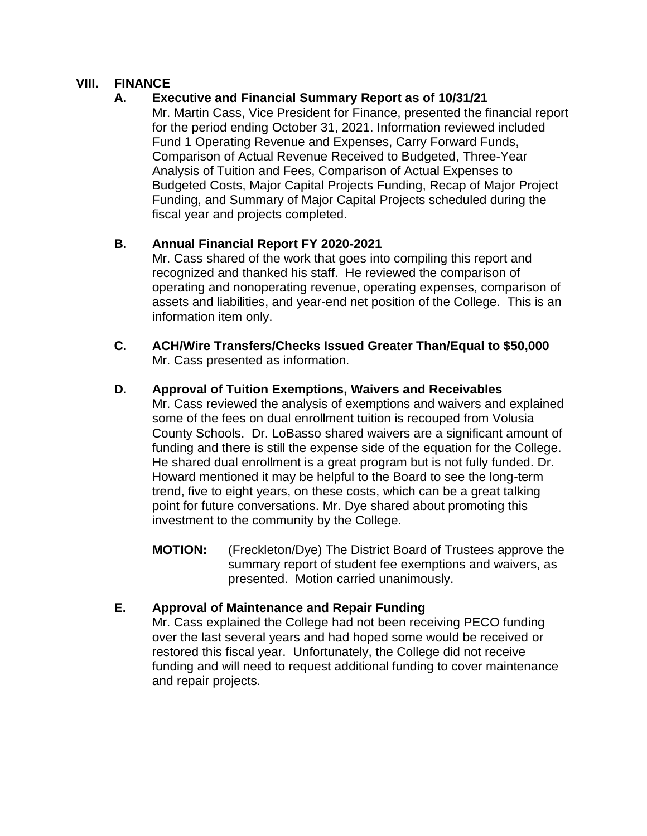### **VIII. FINANCE**

### **A. Executive and Financial Summary Report as of 10/31/21**

Mr. Martin Cass, Vice President for Finance, presented the financial report for the period ending October 31, 2021. Information reviewed included Fund 1 Operating Revenue and Expenses, Carry Forward Funds, Comparison of Actual Revenue Received to Budgeted, Three-Year Analysis of Tuition and Fees, Comparison of Actual Expenses to Budgeted Costs, Major Capital Projects Funding, Recap of Major Project Funding, and Summary of Major Capital Projects scheduled during the fiscal year and projects completed.

### **B. Annual Financial Report FY 2020-2021**

Mr. Cass shared of the work that goes into compiling this report and recognized and thanked his staff. He reviewed the comparison of operating and nonoperating revenue, operating expenses, comparison of assets and liabilities, and year-end net position of the College. This is an information item only.

**C. ACH/Wire Transfers/Checks Issued Greater Than/Equal to \$50,000**  Mr. Cass presented as information.

### **D. Approval of Tuition Exemptions, Waivers and Receivables**

Mr. Cass reviewed the analysis of exemptions and waivers and explained some of the fees on dual enrollment tuition is recouped from Volusia County Schools. Dr. LoBasso shared waivers are a significant amount of funding and there is still the expense side of the equation for the College. He shared dual enrollment is a great program but is not fully funded. Dr. Howard mentioned it may be helpful to the Board to see the long-term trend, five to eight years, on these costs, which can be a great talking point for future conversations. Mr. Dye shared about promoting this investment to the community by the College.

**MOTION:** (Freckleton/Dye) The District Board of Trustees approve the summary report of student fee exemptions and waivers, as presented. Motion carried unanimously.

#### **E. Approval of Maintenance and Repair Funding**

Mr. Cass explained the College had not been receiving PECO funding over the last several years and had hoped some would be received or restored this fiscal year. Unfortunately, the College did not receive funding and will need to request additional funding to cover maintenance and repair projects.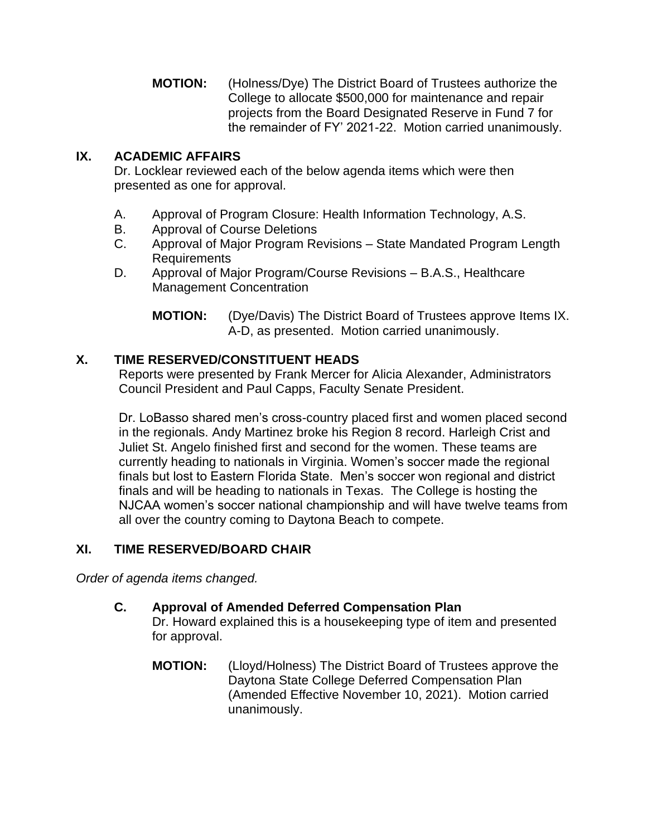**MOTION:** (Holness/Dye) The District Board of Trustees authorize the College to allocate \$500,000 for maintenance and repair projects from the Board Designated Reserve in Fund 7 for the remainder of FY' 2021-22. Motion carried unanimously.

# **IX. ACADEMIC AFFAIRS**

Dr. Locklear reviewed each of the below agenda items which were then presented as one for approval.

- A. Approval of Program Closure: Health Information Technology, A.S.
- B. Approval of Course Deletions
- C. Approval of Major Program Revisions State Mandated Program Length Requirements
- D. Approval of Major Program/Course Revisions B.A.S., Healthcare Management Concentration

**MOTION:** (Dye/Davis) The District Board of Trustees approve Items IX. A-D, as presented. Motion carried unanimously.

# **X. TIME RESERVED/CONSTITUENT HEADS**

Reports were presented by Frank Mercer for Alicia Alexander, Administrators Council President and Paul Capps, Faculty Senate President.

Dr. LoBasso shared men's cross-country placed first and women placed second in the regionals. Andy Martinez broke his Region 8 record. Harleigh Crist and Juliet St. Angelo finished first and second for the women. These teams are currently heading to nationals in Virginia. Women's soccer made the regional finals but lost to Eastern Florida State. Men's soccer won regional and district finals and will be heading to nationals in Texas. The College is hosting the NJCAA women's soccer national championship and will have twelve teams from all over the country coming to Daytona Beach to compete.

# **XI. TIME RESERVED/BOARD CHAIR**

*Order of agenda items changed.*

- **C. Approval of Amended Deferred Compensation Plan** Dr. Howard explained this is a housekeeping type of item and presented for approval.
	- **MOTION:** (Lloyd/Holness) The District Board of Trustees approve the Daytona State College Deferred Compensation Plan (Amended Effective November 10, 2021). Motion carried unanimously.